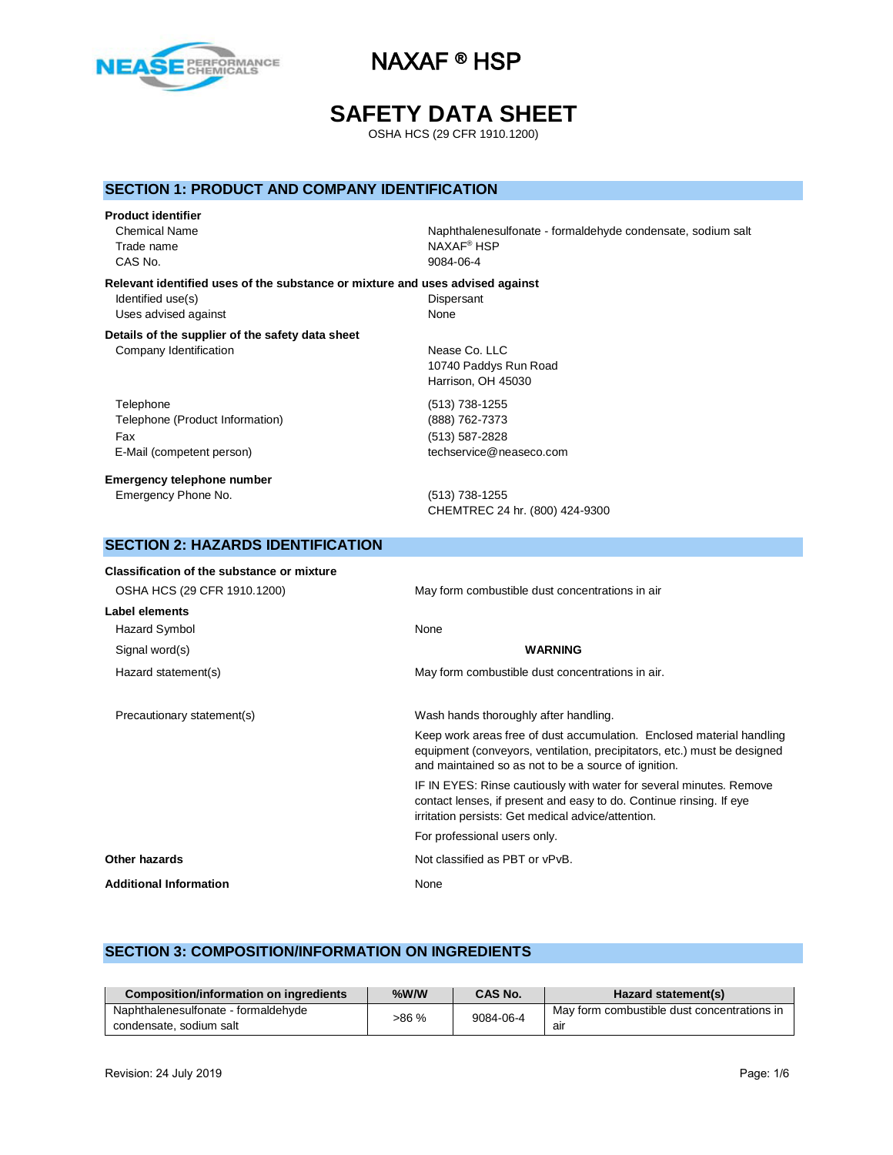

## **SAFETY DATA SHEET**

OSHA HCS (29 CFR 1910.1200)

### **SECTION 1: PRODUCT AND COMPANY IDENTIFICATION**

#### **Product identifier**

Trade name NAXAF® HSP CAS No. 9084-06-4

Chemical Name Naphthalenesulfonate - formaldehyde condensate, sodium salt

### **Relevant identified uses of the substance or mixture and uses advised against** Identified use(s) Dispersant Uses advised against None

#### **Details of the supplier of the safety data sheet** Company Identification Nease Co. LLC

**SECTION 2: HAZARDS IDENTIFICATION**

Telephone (513) 738-1255 Telephone (Product Information) (888) 762-7373 Fax (513) 587-2828 E-Mail (competent person) techservice@neaseco.com

#### **Emergency telephone number** Emergency Phone No. (513) 738-1255

10740 Paddys Run Road Harrison, OH 45030

CHEMTREC 24 hr. (800) 424-9300

| Classification of the substance or mixture |                                                                                                                                                                                                           |
|--------------------------------------------|-----------------------------------------------------------------------------------------------------------------------------------------------------------------------------------------------------------|
| OSHA HCS (29 CFR 1910.1200)                | May form combustible dust concentrations in air                                                                                                                                                           |
| Label elements                             |                                                                                                                                                                                                           |
| Hazard Symbol                              | None                                                                                                                                                                                                      |
| Signal word(s)                             | <b>WARNING</b>                                                                                                                                                                                            |
| Hazard statement(s)                        | May form combustible dust concentrations in air.                                                                                                                                                          |
| Precautionary statement(s)                 | Wash hands thoroughly after handling.                                                                                                                                                                     |
|                                            | Keep work areas free of dust accumulation. Enclosed material handling<br>equipment (conveyors, ventilation, precipitators, etc.) must be designed<br>and maintained so as not to be a source of ignition. |
|                                            | IF IN EYES: Rinse cautiously with water for several minutes. Remove<br>contact lenses, if present and easy to do. Continue rinsing. If eye<br>irritation persists: Get medical advice/attention.          |
|                                            | For professional users only.                                                                                                                                                                              |
| Other hazards                              | Not classified as PBT or vPvB.                                                                                                                                                                            |
| <b>Additional Information</b>              | None                                                                                                                                                                                                      |

### **SECTION 3: COMPOSITION/INFORMATION ON INGREDIENTS**

| Composition/information on ingredients | %W/W  | CAS No.   | Hazard statement(s)                         |
|----------------------------------------|-------|-----------|---------------------------------------------|
| Naphthalenesulfonate - formaldehyde    | >86 % | 9084-06-4 | May form combustible dust concentrations in |
| condensate, sodium salt                |       |           | air                                         |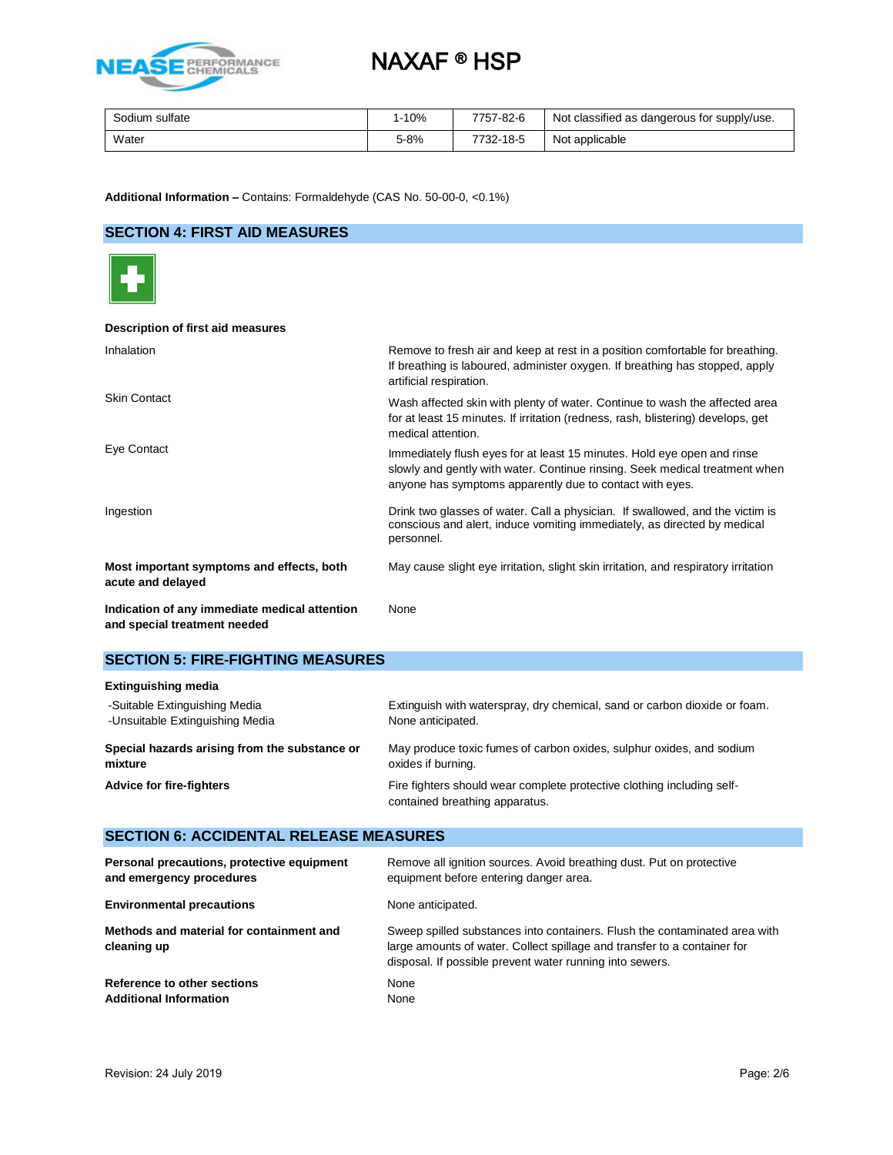

| Sodium<br>sulfate | $-10%$ | 7757-82-6 | Not classified as dangerous for supply/use. |
|-------------------|--------|-----------|---------------------------------------------|
| Water             | 5-8%   | 7732-18-5 | Not applicable                              |

**Additional Information –** Contains: Formaldehyde (CAS No. 50-00-0, <0.1%)

## **SECTION 4: FIRST AID MEASURES**



### **Description of first aid measures**

| Inhalation                                                                    | Remove to fresh air and keep at rest in a position comfortable for breathing.<br>If breathing is laboured, administer oxygen. If breathing has stopped, apply<br>artificial respiration.                           |
|-------------------------------------------------------------------------------|--------------------------------------------------------------------------------------------------------------------------------------------------------------------------------------------------------------------|
| <b>Skin Contact</b>                                                           | Wash affected skin with plenty of water. Continue to wash the affected area<br>for at least 15 minutes. If irritation (redness, rash, blistering) develops, get<br>medical attention.                              |
| Eye Contact                                                                   | Immediately flush eyes for at least 15 minutes. Hold eye open and rinse<br>slowly and gently with water. Continue rinsing. Seek medical treatment when<br>anyone has symptoms apparently due to contact with eyes. |
| Ingestion                                                                     | Drink two glasses of water. Call a physician. If swallowed, and the victim is<br>conscious and alert, induce vomiting immediately, as directed by medical<br>personnel.                                            |
| Most important symptoms and effects, both<br>acute and delayed                | May cause slight eye irritation, slight skin irritation, and respiratory irritation                                                                                                                                |
| Indication of any immediate medical attention<br>and special treatment needed | None                                                                                                                                                                                                               |

#### **SECTION 5: FIRE-FIGHTING MEASURES**

| <b>Extinguishing media</b>                    |                                                                                                          |
|-----------------------------------------------|----------------------------------------------------------------------------------------------------------|
| -Suitable Extinguishing Media                 | Extinguish with waterspray, dry chemical, sand or carbon dioxide or foam.                                |
| -Unsuitable Extinguishing Media               | None anticipated.                                                                                        |
| Special hazards arising from the substance or | May produce toxic fumes of carbon oxides, sulphur oxides, and sodium                                     |
| mixture                                       | oxides if burning.                                                                                       |
| Advice for fire-fighters                      | Fire fighters should wear complete protective clothing including self-<br>contained breathing apparatus. |

## **SECTION 6: ACCIDENTAL RELEASE MEASURES**

| Personal precautions, protective equipment              | Remove all ignition sources. Avoid breathing dust. Put on protective                                                                                                                                               |
|---------------------------------------------------------|--------------------------------------------------------------------------------------------------------------------------------------------------------------------------------------------------------------------|
| and emergency procedures                                | equipment before entering danger area.                                                                                                                                                                             |
| <b>Environmental precautions</b>                        | None anticipated.                                                                                                                                                                                                  |
| Methods and material for containment and<br>cleaning up | Sweep spilled substances into containers. Flush the contaminated area with<br>large amounts of water. Collect spillage and transfer to a container for<br>disposal. If possible prevent water running into sewers. |
| Reference to other sections                             | None                                                                                                                                                                                                               |
| <b>Additional Information</b>                           | None                                                                                                                                                                                                               |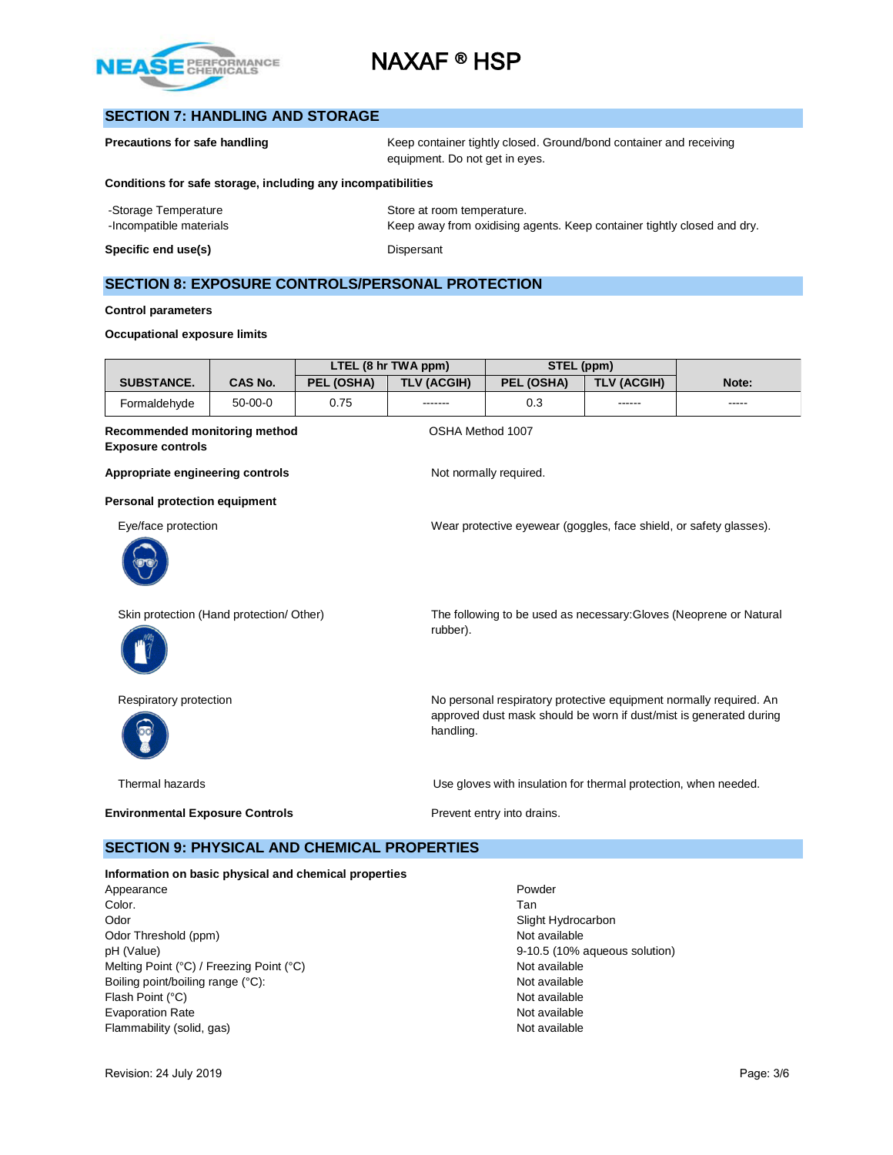

## **SECTION 7: HANDLING AND STORAGE**

| <b>Precautions for safe handling</b>                         | Keep container tightly closed. Ground/bond container and receiving<br>equipment. Do not get in eyes. |
|--------------------------------------------------------------|------------------------------------------------------------------------------------------------------|
| Conditions for safe storage, including any incompatibilities |                                                                                                      |
| -Storage Temperature                                         | Store at room temperature.                                                                           |
| -Incompatible materials                                      | Keep away from oxidising agents. Keep container tightly closed and dry.                              |
| Specific end use(s)                                          | Dispersant                                                                                           |

### **SECTION 8: EXPOSURE CONTROLS/PERSONAL PROTECTION**

#### **Control parameters**

#### **Occupational exposure limits**

|                                                           |                |            | LTEL (8 hr TWA ppm) | STEL (ppm)                                                         |                               |                                                                                                                                          |
|-----------------------------------------------------------|----------------|------------|---------------------|--------------------------------------------------------------------|-------------------------------|------------------------------------------------------------------------------------------------------------------------------------------|
| <b>SUBSTANCE.</b>                                         | <b>CAS No.</b> | PEL (OSHA) | <b>TLV (ACGIH)</b>  | PEL (OSHA)                                                         | <b>TLV (ACGIH)</b>            | Note:                                                                                                                                    |
| Formaldehyde                                              | $50 - 00 - 0$  | 0.75       |                     | 0.3                                                                |                               | -----                                                                                                                                    |
| Recommended monitoring method<br><b>Exposure controls</b> |                |            |                     | OSHA Method 1007                                                   |                               |                                                                                                                                          |
| Appropriate engineering controls                          |                |            |                     | Not normally required.                                             |                               |                                                                                                                                          |
| <b>Personal protection equipment</b>                      |                |            |                     |                                                                    |                               |                                                                                                                                          |
| Eye/face protection                                       |                |            |                     | Wear protective eyewear (goggles, face shield, or safety glasses). |                               |                                                                                                                                          |
| Skin protection (Hand protection/ Other)                  |                |            | rubber).            |                                                                    |                               | The following to be used as necessary: Gloves (Neoprene or Natural                                                                       |
| Respiratory protection                                    |                |            | handling.           |                                                                    |                               | No personal respiratory protective equipment normally required. An<br>approved dust mask should be worn if dust/mist is generated during |
| Thermal hazards                                           |                |            |                     | Use gloves with insulation for thermal protection, when needed.    |                               |                                                                                                                                          |
| <b>Environmental Exposure Controls</b>                    |                |            |                     | Prevent entry into drains.                                         |                               |                                                                                                                                          |
| <b>SECTION 9: PHYSICAL AND CHEMICAL PROPERTIES</b>        |                |            |                     |                                                                    |                               |                                                                                                                                          |
| Information on basic physical and chemical properties     |                |            |                     |                                                                    |                               |                                                                                                                                          |
| Appearance                                                |                |            |                     | Powder                                                             |                               |                                                                                                                                          |
| Color.                                                    |                |            |                     | Tan                                                                |                               |                                                                                                                                          |
| Odor                                                      |                |            |                     | Slight Hydrocarbon<br>Not available                                |                               |                                                                                                                                          |
| Odor Threshold (ppm)                                      |                |            |                     |                                                                    |                               |                                                                                                                                          |
| pH (Value)                                                |                |            |                     |                                                                    | 9-10.5 (10% aqueous solution) |                                                                                                                                          |
| Melting Point (°C) / Freezing Point (°C)                  |                |            |                     | Not available                                                      |                               |                                                                                                                                          |

Boiling point/boiling range (°C): Not available Flash Point (°C) Not available Not available Not available Evaporation Rate Not available Not available Not available Flammability (solid, gas) Not available Solid, and Solid and Solid and Solid and Solid and Solid and Solid and Solid and Solid and Solid and Solid and Solid and Solid and Solid and Solid and Solid and Solid and Solid and S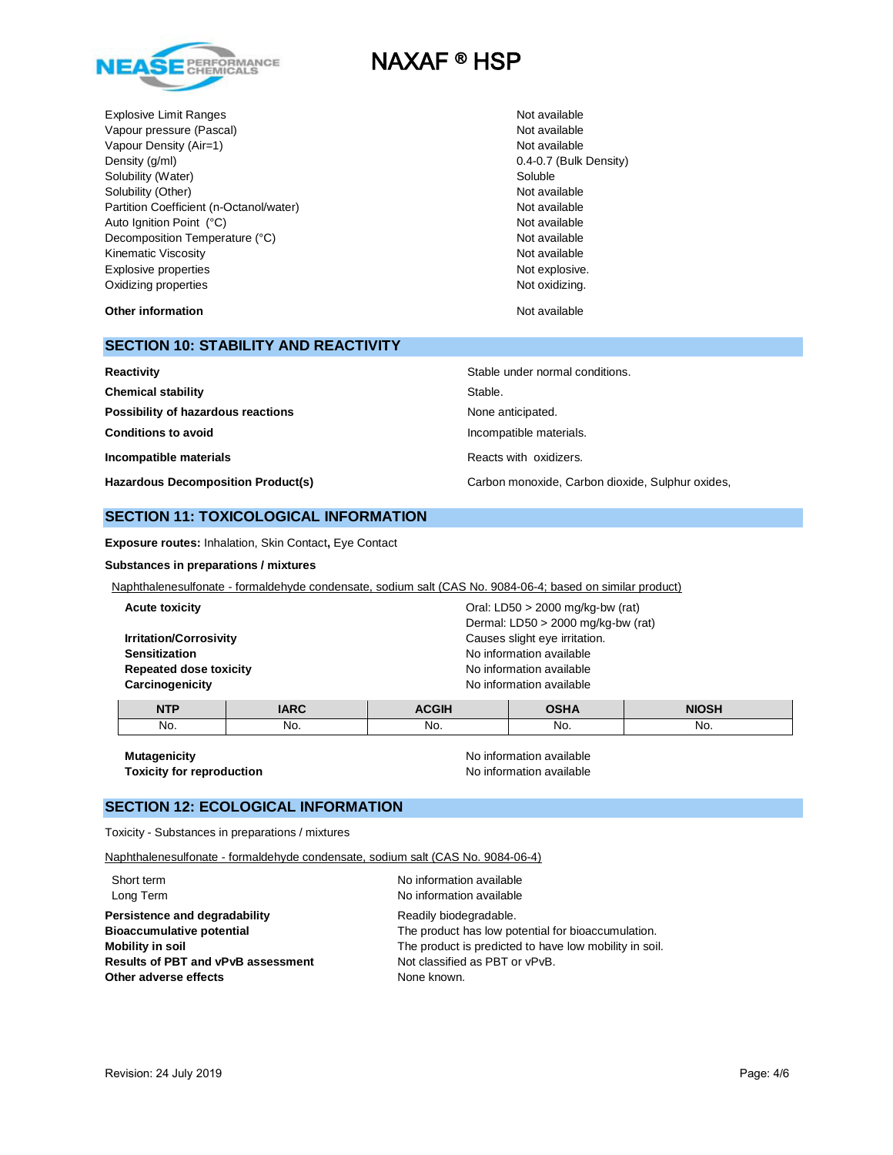

Explosive Limit Ranges Not available Not available Not available Vapour pressure (Pascal) Not available Not available Not available Not available Vapour Density (Air=1) Not available Density (g/ml) 0.4-0.7 (Bulk Density) Solubility (Water) Soluble Soluble Solubility (Other) Not available Partition Coefficient (n-Octanol/water) Mot available Not available Auto Ignition Point (°C) and the contract of the contract of the contract of the contract of the contract of the contract of the contract of the contract of the contract of the contract of the contract of the contract of t Decomposition Temperature (°C) Not available Not available Kinematic Viscosity **Not available** Not available Not available Explosive properties Not explosive. The set of the set of the set of the set of the set of the set of the set of the set of the set of the set of the set of the set of the set of the set of the set of the set of the set of Oxidizing properties Not oxidizing.

**Other information Other information Not available** 

## **SECTION 10: STABILITY AND REACTIVITY**

| Reactivity                                | Stable under normal conditions.                  |
|-------------------------------------------|--------------------------------------------------|
| <b>Chemical stability</b>                 | Stable.                                          |
| Possibility of hazardous reactions        | None anticipated.                                |
| <b>Conditions to avoid</b>                | Incompatible materials.                          |
| Incompatible materials                    | Reacts with oxidizers.                           |
| <b>Hazardous Decomposition Product(s)</b> | Carbon monoxide, Carbon dioxide, Sulphur oxides, |

#### **SECTION 11: TOXICOLOGICAL INFORMATION**

**Exposure routes:** Inhalation, Skin Contact**,** Eye Contact

**Substances in preparations / mixtures**

Naphthalenesulfonate - formaldehyde condensate, sodium salt (CAS No. 9084-06-4; based on similar product)

| <b>NTP</b>                    | <b>IARC</b> | <b>ACGIH</b>                         | <b>OSHA</b>                   | <b>NIOSH</b> |  |
|-------------------------------|-------------|--------------------------------------|-------------------------------|--------------|--|
| Carcinogenicity               |             | No information available             |                               |              |  |
| <b>Repeated dose toxicity</b> |             | No information available             |                               |              |  |
| <b>Sensitization</b>          |             | No information available             |                               |              |  |
| <b>Irritation/Corrosivity</b> |             |                                      | Causes slight eye irritation. |              |  |
|                               |             | Dermal: $LD50 > 2000$ mg/kg-bw (rat) |                               |              |  |
| <b>Acute toxicity</b>         |             | Oral: LD50 $>$ 2000 mg/kg-bw (rat)   |                               |              |  |
|                               |             |                                      |                               |              |  |

No. No. No. No. No.

**Toxicity for reproduction** 

**Mutagenicity**<br> **Mutagenicity**<br> **Toxicity for reproduction**<br> **No** information available

### **SECTION 12: ECOLOGICAL INFORMATION**

Toxicity - Substances in preparations / mixtures

Naphthalenesulfonate - formaldehyde condensate, sodium salt (CAS No. 9084-06-4)

| Short term<br>Long Term                   | No information available<br>No information available   |
|-------------------------------------------|--------------------------------------------------------|
| Persistence and degradability             | Readily biodegradable.                                 |
| <b>Bioaccumulative potential</b>          | The product has low potential for bioaccumulation.     |
| Mobility in soil                          | The product is predicted to have low mobility in soil. |
| <b>Results of PBT and vPvB assessment</b> | Not classified as PBT or vPvB.                         |
| Other adverse effects                     | None known.                                            |
|                                           |                                                        |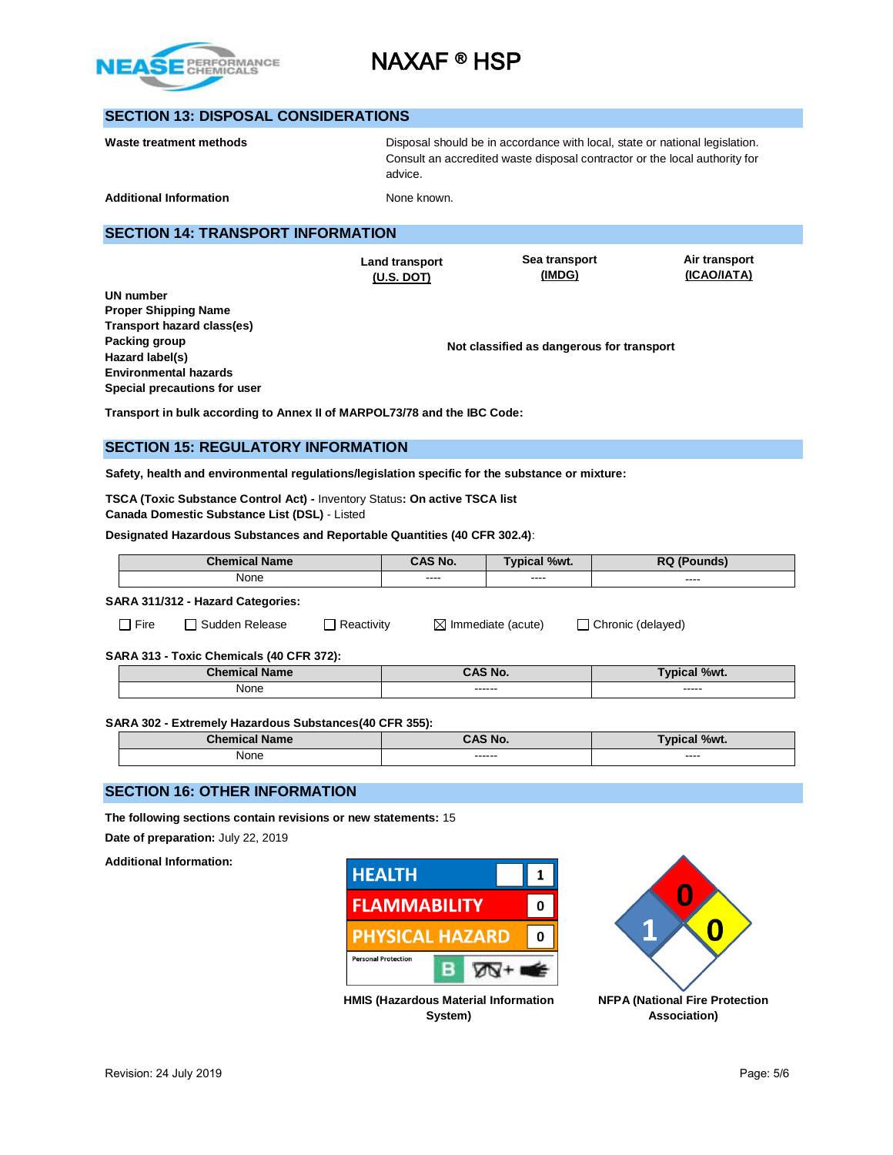

## **SECTION 13: DISPOSAL CONSIDERATIONS**

| Waste treatment methods       | Disposal should be in accordance with local, state or national legislation.<br>Consult an accredited waste disposal contractor or the local authority for<br>advice. |
|-------------------------------|----------------------------------------------------------------------------------------------------------------------------------------------------------------------|
| <b>Additional Information</b> | None known.                                                                                                                                                          |

## **SECTION 14: TRANSPORT INFORMATION**

**Land transport (U.S. DOT)**

**Sea transport (IMDG)**

**Air transport (ICAO/IATA)**

**UN number Proper Shipping Name Transport hazard class(es) Packing group Hazard label(s) Environmental hazards Special precautions for user**

**Not classified as dangerous for transport**

**Transport in bulk according to Annex II of MARPOL73/78 and the IBC Code:** 

## **SECTION 15: REGULATORY INFORMATION**

**Safety, health and environmental regulations/legislation specific for the substance or mixture:**

**TSCA (Toxic Substance Control Act) -** Inventory Status**: On active TSCA list Canada Domestic Substance List (DSL)** - Listed

**Designated Hazardous Substances and Reportable Quantities (40 CFR 302.4)**:

|                                                         | <b>Chemical Name</b>                |         | <b>CAS No.</b>                | Typical %wt.        | <b>RQ (Pounds)</b>  |
|---------------------------------------------------------|-------------------------------------|---------|-------------------------------|---------------------|---------------------|
|                                                         | None                                |         | $- - - -$                     | ----                | ----                |
|                                                         | SARA 311/312 - Hazard Categories:   |         |                               |                     |                     |
| l Fire                                                  | $\Box$ Reactivity<br>Sudden Release |         | $\boxtimes$ Immediate (acute) |                     | □ Chronic (delayed) |
| SARA 313 - Toxic Chemicals (40 CFR 372):                |                                     |         |                               |                     |                     |
|                                                         | <b>Chemical Name</b>                | CAS No. |                               | <b>Typical %wt.</b> |                     |
| None                                                    |                                     |         | -----                         |                     |                     |
| SARA 302 - Extremely Hazardous Substances (40 CFR 355): |                                     |         |                               |                     |                     |
| <b>Chemical Name</b>                                    |                                     |         | CAS No.                       |                     | <b>Typical %wt.</b> |
|                                                         | None                                |         |                               | ------              | ----                |

### **SECTION 16: OTHER INFORMATION**

**The following sections contain revisions or new statements:** 15

**Date of preparation:** July 22, 2019

**Additional Information:**



**System)**